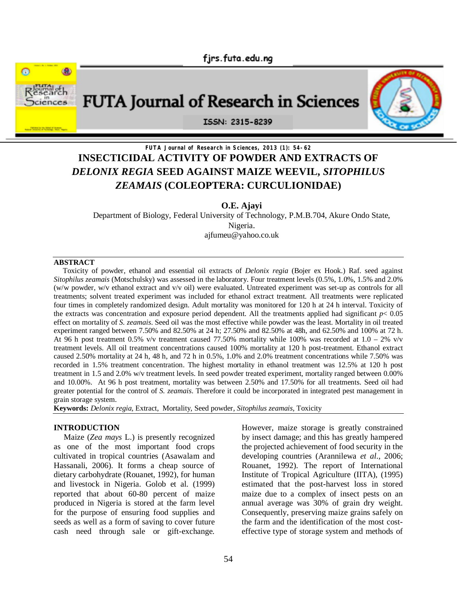



# **FUTA Journal of Research in Sciences, 2013 (1): 54-62 INSECTICIDAL ACTIVITY OF POWDER AND EXTRACTS OF**  *DELONIX REGIA* **SEED AGAINST MAIZE WEEVIL,** *SITOPHILUS ZEAMAIS* **(COLEOPTERA: CURCULIONIDAE)**

**O.E. Ajayi**

Department of Biology, Federal University of Technology, P.M.B.704, Akure Ondo State, Nigeria. ajfumeu@yahoo.co.uk

#### **ABSTRACT**

 Toxicity of powder, ethanol and essential oil extracts of *Delonix regia* (Bojer ex Hook.) Raf. seed against *Sitophilus zeamais* (Motschulsky) was assessed in the laboratory. Four treatment levels (0.5%, 1.0%, 1.5% and 2.0% (w/w powder, w/v ethanol extract and v/v oil) were evaluated. Untreated experiment was set-up as controls for all treatments; solvent treated experiment was included for ethanol extract treatment. All treatments were replicated four times in completely randomized design. Adult mortality was monitored for 120 h at 24 h interval. Toxicity of the extracts was concentration and exposure period dependent. All the treatments applied had significant  $p < 0.05$ effect on mortality of *S. zeamais*. Seed oil was the most effective while powder was the least. Mortality in oil treated experiment ranged between 7.50% and 82.50% at 24 h; 27.50% and 82.50% at 48h, and 62.50% and 100% at 72 h. At 96 h post treatment 0.5% v/v treatment caused 77.50% mortality while 100% was recorded at  $1.0 - 2\%$  v/v treatment levels. All oil treatment concentrations caused 100% mortality at 120 h post-treatment. Ethanol extract caused 2.50% mortality at 24 h, 48 h, and 72 h in 0.5%, 1.0% and 2.0% treatment concentrations while 7.50% was recorded in 1.5% treatment concentration. The highest mortality in ethanol treatment was 12.5% at 120 h post treatment in 1.5 and 2.0% w/v treatment levels. In seed powder treated experiment, mortality ranged between 0.00% and 10.00%. At 96 h post treatment, mortality was between 2.50% and 17.50% for all treatments. Seed oil had greater potential for the control of *S. zeamais*. Therefore it could be incorporated in integrated pest management in grain storage system.

**Keywords:** *Delonix regia,* Extract, Mortality, Seed powder, *Sitophilus zeamais,* Toxicity

### **INTRODUCTION**

 Maize (*Zea mays* L.) is presently recognized as one of the most important food crops cultivated in tropical countries (Asawalam and Hassanali, 2006). It forms a cheap source of dietary carbohydrate (Rouanet, 1992), for human and livestock in Nigeria. Golob et al. (1999) reported that about 60-80 percent of maize produced in Nigeria is stored at the farm level for the purpose of ensuring food supplies and seeds as well as a form of saving to cover future cash need through sale or gift-exchange. However, maize storage is greatly constrained by insect damage; and this has greatly hampered the projected achievement of food security in the developing countries (Arannilewa *et al*., 2006; Rouanet, 1992). The report of International Institute of Tropical Agriculture (IITA), (1995) estimated that the post-harvest loss in stored maize due to a complex of insect pests on an annual average was 30% of grain dry weight. Consequently, preserving maize grains safely on the farm and the identification of the most costeffective type of storage system and methods of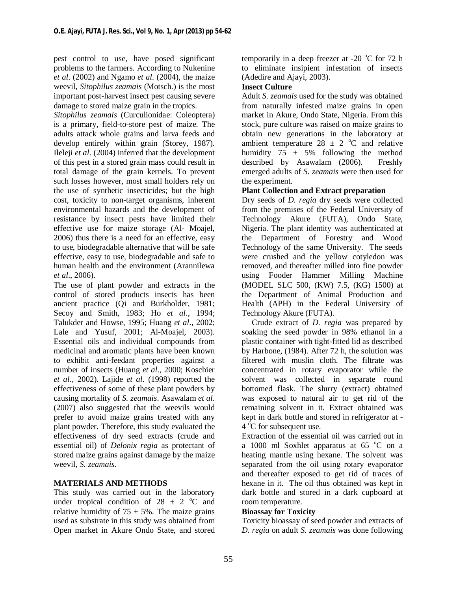pest control to use, have posed significant problems to the farmers. According to Nukenine *et al*. (2002) and Ngamo *et al.* (2004), the maize weevil, *Sitophilus zeamais* (Motsch.) is the most important post-harvest insect pest causing severe damage to stored maize grain in the tropics.

*Sitophilus zeamais* (Curculionidae: Coleoptera) is a primary, field-to-store pest of maize. The adults attack whole grains and larva feeds and develop entirely within grain (Storey, 1987). Ileleji *et al*. (2004) inferred that the development of this pest in a stored grain mass could result in total damage of the grain kernels. To prevent such losses however, most small holders rely on the use of synthetic insecticides; but the high cost, toxicity to non-target organisms, inherent environmental hazards and the development of resistance by insect pests have limited their effective use for maize storage (Al- Moajel, 2006) thus there is a need for an effective, easy to use, biodegradable alternative that will be safe effective, easy to use, biodegradable and safe to human health and the environment (Arannilewa *et al*., 2006).

The use of plant powder and extracts in the control of stored products insects has been ancient practice (Qi and Burkholder, 1981; Secoy and Smith, 1983; Ho *et al*., 1994; Talukder and Howse, 1995; Huang *et al*., 2002; Lale and Yusuf, 2001; Al-Moajel, 2003). Essential oils and individual compounds from medicinal and aromatic plants have been known to exhibit anti-feedant properties against a number of insects (Huang *et al*., 2000; Koschier *et al*., 2002). Lajide *et al.* (1998) reported the effectiveness of some of these plant powders by causing mortality of *S. zeamais*. Asawalam *et al*. (2007) also suggested that the weevils would prefer to avoid maize grains treated with any plant powder. Therefore, this study evaluated the effectiveness of dry seed extracts (crude and essential oil) of *Delonix regia* as protectant of stored maize grains against damage by the maize weevil, *S. zeamais*.

# **MATERIALS AND METHODS**

This study was carried out in the laboratory under tropical condition of  $28 \pm 2$  °C and relative humidity of  $75 \pm 5\%$ . The maize grains used as substrate in this study was obtained from Open market in Akure Ondo State, and stored

temporarily in a deep freezer at -20  $^{\circ}$ C for 72 h to eliminate insipient infestation of insects (Adedire and Ajayi, 2003).

# **Insect Culture**

Adult *S. zeamais* used for the study was obtained from naturally infested maize grains in open market in Akure, Ondo State, Nigeria. From this stock, pure culture was raised on maize grains to obtain new generations in the laboratory at ambient temperature  $28 \pm 2$  °C and relative humidity  $75 \pm 5\%$  following the method described by Asawalam (2006). Freshly emerged adults of *S. zeamais* were then used for the experiment.

# **Plant Collection and Extract preparation**

Dry seeds of *D. regia* dry seeds were collected from the premises of the Federal University of Technology Akure (FUTA), Ondo State, Nigeria. The plant identity was authenticated at the Department of Forestry and Wood Technology of the same University. The seeds were crushed and the yellow cotyledon was removed, and thereafter milled into fine powder using Fooder Hammer Milling Machine (MODEL SLC 500, (KW) 7.5, (KG) 1500) at the Department of Animal Production and Health (APH) in the Federal University of Technology Akure (FUTA).

 Crude extract of *D. regia* was prepared by soaking the seed powder in 98% ethanol in a plastic container with tight-fitted lid as described by Harbone, (1984). After 72 h, the solution was filtered with muslin cloth. The filtrate was concentrated in rotary evaporator while the solvent was collected in separate round bottomed flask. The slurry (extract) obtained was exposed to natural air to get rid of the remaining solvent in it. Extract obtained was kept in dark bottle and stored in refrigerator at - 4 °C for subsequent use.

Extraction of the essential oil was carried out in a 1000 ml Soxhlet apparatus at  $65^{\circ}$ C on a heating mantle using hexane. The solvent was separated from the oil using rotary evaporator and thereafter exposed to get rid of traces of hexane in it. The oil thus obtained was kept in dark bottle and stored in a dark cupboard at room temperature.

# **Bioassay for Toxicity**

Toxicity bioassay of seed powder and extracts of *D. regia* on adult *S. zeamais* was done following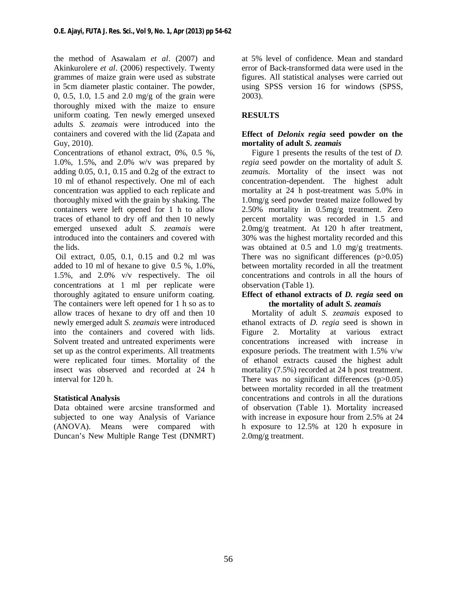the method of Asawalam *et al*. (2007) and Akinkurolere *et al*. (2006) respectively. Twenty grammes of maize grain were used as substrate in 5cm diameter plastic container. The powder, 0, 0.5, 1.0, 1.5 and 2.0 mg/g of the grain were thoroughly mixed with the maize to ensure uniform coating. Ten newly emerged unsexed adults *S. zeamais* were introduced into the containers and covered with the lid (Zapata and Guy, 2010).

Concentrations of ethanol extract, 0%, 0.5 %, 1.0%, 1.5%, and 2.0% w/v was prepared by adding 0.05, 0.1, 0.15 and 0.2g of the extract to 10 ml of ethanol respectively. One ml of each concentration was applied to each replicate and thoroughly mixed with the grain by shaking. The containers were left opened for 1 h to allow traces of ethanol to dry off and then 10 newly emerged unsexed adult *S. zeamais* were introduced into the containers and covered with the lids.

Oil extract, 0.05, 0.1, 0.15 and 0.2 ml was added to 10 ml of hexane to give 0.5 %, 1.0%, 1.5%, and 2.0% v/v respectively. The oil concentrations at 1 ml per replicate were thoroughly agitated to ensure uniform coating. The containers were left opened for 1 h so as to allow traces of hexane to dry off and then 10 newly emerged adult *S. zeamais* were introduced into the containers and covered with lids. Solvent treated and untreated experiments were set up as the control experiments. All treatments were replicated four times. Mortality of the insect was observed and recorded at 24 h interval for 120 h.

# **Statistical Analysis**

Data obtained were arcsine transformed and subjected to one way Analysis of Variance (ANOVA). Means were compared with Duncan's New Multiple Range Test (DNMRT) at 5% level of confidence. Mean and standard error of Back-transformed data were used in the figures. All statistical analyses were carried out using SPSS version 16 for windows (SPSS, 2003).

# **RESULTS**

# **Effect of** *Delonix regia* **seed powder on the mortality of adult** *S. zeamais*

 Figure 1 presents the results of the test of *D. regia* seed powder on the mortality of adult *S. zeamais.* Mortality of the insect was not concentration-dependent. The highest adult mortality at 24 h post-treatment was 5.0% in 1.0mg/g seed powder treated maize followed by 2.50% mortality in 0.5mg/g treatment. Zero percent mortality was recorded in 1.5 and 2.0mg/g treatment. At 120 h after treatment, 30% was the highest mortality recorded and this was obtained at 0.5 and 1.0 mg/g treatments. There was no significant differences  $(p>0.05)$ between mortality recorded in all the treatment concentrations and controls in all the hours of observation (Table 1).

### **Effect of ethanol extracts of** *D. regia* **seed on the mortality of adult** *S. zeamais*

 Mortality of adult *S. zeamais* exposed to ethanol extracts of *D. regia* seed is shown in Figure 2. Mortality at various extract concentrations increased with increase in exposure periods. The treatment with 1.5% v/w of ethanol extracts caused the highest adult mortality (7.5%) recorded at 24 h post treatment. There was no significant differences  $(p>0.05)$ between mortality recorded in all the treatment concentrations and controls in all the durations of observation (Table 1). Mortality increased with increase in exposure hour from 2.5% at 24 h exposure to 12.5% at 120 h exposure in 2.0mg/g treatment.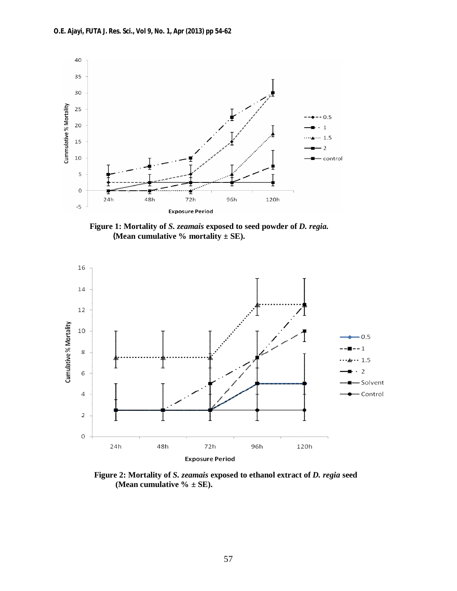

 **Figure 1: Mortality of** *S. zeamais* **exposed to seed powder of** *D. regia.*  **(Mean cumulative % mortality**  $\pm$  **SE).** 



 **Figure 2: Mortality of** *S. zeamais* **exposed to ethanol extract of** *D. regia* **seed (Mean cumulative % ± SE).**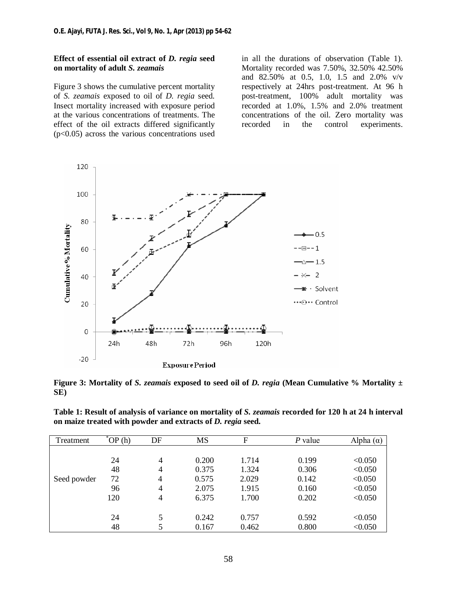### **Effect of essential oil extract of** *D. regia* **seed on mortality of adult** *S. zeamais*

Figure 3 shows the cumulative percent mortality of *S. zeamais* exposed to oil of *D. regia* seed. Insect mortality increased with exposure period at the various concentrations of treatments. The effect of the oil extracts differed significantly  $(p<0.05)$  across the various concentrations used

in all the durations of observation (Table 1). Mortality recorded was 7.50%, 32.50% 42.50% and 82.50% at 0.5, 1.0, 1.5 and 2.0% v/v respectively at 24hrs post-treatment. At 96 h post-treatment, 100% adult mortality was recorded at 1.0%, 1.5% and 2.0% treatment concentrations of the oil. Zero mortality was recorded in the control experiments.



**Figure 3: Mortality of** *S. zeamais* **exposed to seed oil of** *D. regia* **(Mean Cumulative % Mortality ± SE)**

**Table 1: Result of analysis of variance on mortality of** *S. zeamais* **recorded for 120 h at 24 h interval on maize treated with powder and extracts of** *D. regia* **seed.**

| Treatment   | OP(h) | DF             | <b>MS</b> | F     | P value | Alpha $(\alpha)$ |
|-------------|-------|----------------|-----------|-------|---------|------------------|
|             |       |                |           |       |         |                  |
| Seed powder | 24    | $\overline{4}$ | 0.200     | 1.714 | 0.199   | < 0.050          |
|             | 48    | 4              | 0.375     | 1.324 | 0.306   | < 0.050          |
|             | 72    | 4              | 0.575     | 2.029 | 0.142   | < 0.050          |
|             | 96    | $\overline{4}$ | 2.075     | 1.915 | 0.160   | < 0.050          |
|             | 120   | 4              | 6.375     | 1.700 | 0.202   | < 0.050          |
|             |       |                |           |       |         |                  |
|             | 24    | 5              | 0.242     | 0.757 | 0.592   | < 0.050          |
|             | 48    | 5              | 0.167     | 0.462 | 0.800   | < 0.050          |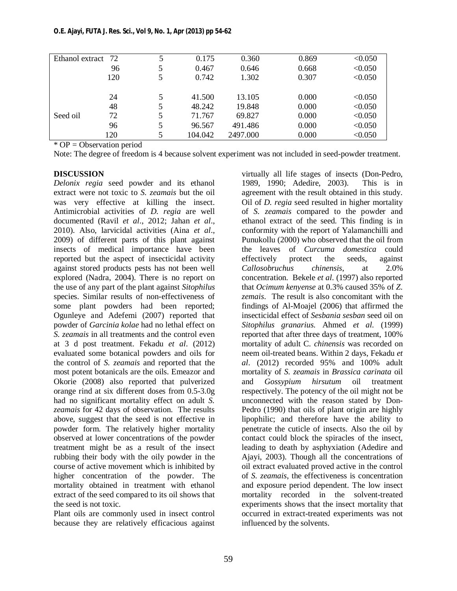| Ethanol extract<br>72 |     | 5 | 0.175   | 0.360    | 0.869 | < 0.050 |
|-----------------------|-----|---|---------|----------|-------|---------|
|                       | 96  | 5 | 0.467   | 0.646    | 0.668 | < 0.050 |
|                       | 120 | 5 | 0.742   | 1.302    | 0.307 | < 0.050 |
|                       | 24  | 5 | 41.500  | 13.105   | 0.000 | < 0.050 |
| Seed oil              | 48  | 5 | 48.242  | 19.848   | 0.000 | < 0.050 |
|                       | 72  | 5 | 71.767  | 69.827   | 0.000 | < 0.050 |
|                       | 96  | 5 | 96.567  | 491.486  | 0.000 | < 0.050 |
|                       | 120 | 5 | 104.042 | 2497.000 | 0.000 | < 0.050 |

\* OP = Observation period

Note: The degree of freedom is 4 because solvent experiment was not included in seed-powder treatment.

# **DISCUSSION**

*Delonix regia* seed powder and its ethanol extract were not toxic to *S. zeamais* but the oil was very effective at killing the insect. Antimicrobial activities of *D. regia* are well documented (Ravil *et al*., 2012; Jahan *et al*., 2010). Also, larvicidal activities (Aina *et al*., 2009) of different parts of this plant against insects of medical importance have been reported but the aspect of insecticidal activity against stored products pests has not been well explored (Nadra, 2004). There is no report on the use of any part of the plant against *Sitophilus* species. Similar results of non-effectiveness of some plant powders had been reported; Ogunleye and Adefemi (2007) reported that powder of *Garcinia kolae* had no lethal effect on *S. zeamais* in all treatments and the control even at 3 d post treatment. Fekadu *et al*. (2012) evaluated some botanical powders and oils for the control of *S. zeamais* and reported that the most potent botanicals are the oils. Emeazor and Okorie (2008) also reported that pulverized orange rind at six different doses from 0.5-3.0g had no significant mortality effect on adult *S. zeamais* for 42 days of observation. The results above, suggest that the seed is not effective in powder form. The relatively higher mortality observed at lower concentrations of the powder treatment might be as a result of the insect rubbing their body with the oily powder in the course of active movement which is inhibited by higher concentration of the powder. The mortality obtained in treatment with ethanol extract of the seed compared to its oil shows that the seed is not toxic.

Plant oils are commonly used in insect control because they are relatively efficacious against

virtually all life stages of insects (Don-Pedro, 1989, 1990; Adedire, 2003). This is in agreement with the result obtained in this study. Oil of *D. regia* seed resulted in higher mortality of *S. zeamais* compared to the powder and ethanol extract of the seed. This finding is in conformity with the report of Yalamanchilli and Punukollu (2000) who observed that the oil from the leaves of *Curcuma domestica* could effectively protect the seeds, against *Callosobruchus chinensis*, at 2.0% concentration. Bekele *et al*. (1997) also reported that *Ocimum kenyense* at 0.3% caused 35% of *Z. zemais*. The result is also concomitant with the findings of Al-Moajel (2006) that affirmed the insecticidal effect of *Sesbania sesban* seed oil on *Sitophilus granarius.* Ahmed *et al.* (1999) reported that after three days of treatment, 100% mortality of adult C*. chinensis* was recorded on neem oil-treated beans. Within 2 days, Fekadu *et al*. (2012) recorded 95% and 100% adult mortality of *S. zeamais* in *Brassica carinata* oil and *Gossypium hirsutum* oil treatment respectively. The potency of the oil might not be unconnected with the reason stated by Don-Pedro (1990) that oils of plant origin are highly lipophilic; and therefore have the ability to penetrate the cuticle of insects. Also the oil by contact could block the spiracles of the insect, leading to death by asphyxiation (Adedire and Ajayi, 2003). Though all the concentrations of oil extract evaluated proved active in the control of *S. zeamais*, the effectiveness is concentration and exposure period dependent. The low insect mortality recorded in the solvent-treated experiments shows that the insect mortality that occurred in extract-treated experiments was not influenced by the solvents.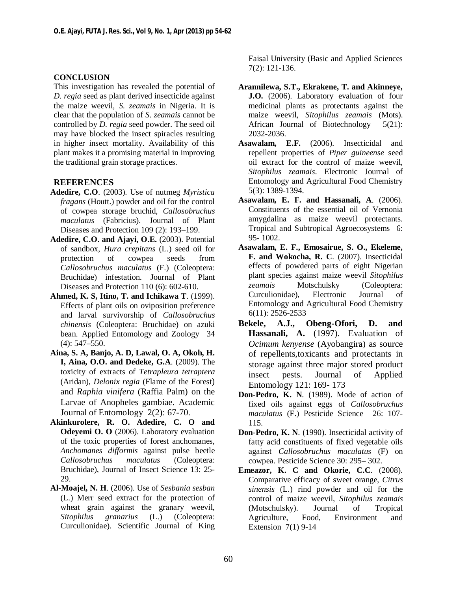### **CONCLUSION**

This investigation has revealed the potential of *D. regia* seed as plant derived insecticide against the maize weevil, *S. zeamais* in Nigeria. It is clear that the population of *S*. *zeamais* cannot be controlled by *D. regia* seed powder. The seed oil may have blocked the insect spiracles resulting in higher insect mortality. Availability of this plant makes it a promising material in improving the traditional grain storage practices.

# **REFERENCES**

- **Adedire, C.O**. (2003). Use of nutmeg *Myristica fragans* (Houtt.) powder and oil for the control of cowpea storage bruchid, *Callosobruchus maculatus* (Fabricius). Journal of Plant Diseases and Protection 109 (2): 193–199.
- **Adedire, C.O. and Ajayi, O.E.** (2003). Potential of sandbox, *Hura crepitans* (L.) seed oil for protection of cowpea seeds from *Callosobruchus maculatus* (F.) (Coleoptera: Bruchidae) infestation. Journal of Plant Diseases and Protection 110 (6): 602-610.
- **Ahmed, K. S, Itino, T. and Ichikawa T**. (1999). Effects of plant oils on oviposition preference and larval survivorship of *Callosobruchus chinensis* (Coleoptera: Bruchidae) on azuki bean. Applied Entomology and Zoology 34 (4): 547–550.
- **Aina, S. A, Banjo, A. D, Lawal, O. A, Okoh, H. I, Aina, O.O. and Dedeke, G.A**. (2009). The toxicity of extracts of *Tetrapleura tetraptera* (Aridan), *Delonix regia* (Flame of the Forest) and *Raphia vinifera* (Raffia Palm) on the Larvae of Anopheles gambiae. Academic Journal of Entomology 2(2): 67-70.
- **Akinkurolere, R. O. Adedire, C. O and Odeyemi O. O** (2006). Laboratory evaluation of the toxic properties of forest anchomanes, *Anchomanes difformis* against pulse beetle *Callosobruchus maculatus* (Coleoptera: Bruchidae), Journal of Insect Science 13: 25- 29.
- **Al-Moajel, N. H**. (2006). Use of *Sesbania sesban* (L.) Merr seed extract for the protection of wheat grain against the granary weevil, *Sitophilus granarius* (L.) (Coleoptera: Curculionidae). Scientific Journal of King

Faisal University (Basic and Applied Sciences 7(2): 121-136.

- **Arannilewa, S.T., Ekrakene, T. and Akinneye, J.O.** (2006). Laboratory evaluation of four medicinal plants as protectants against the maize weevil, *Sitophilus zeamais* (Mots). African Journal of Biotechnology 5(21): 2032-2036.
- **Asawalam, E.F.** (2006). Insecticidal and repellent properties of *Piper guineense* seed oil extract for the control of maize weevil, *Sitophilus zeamais*. Electronic Journal of Entomology and Agricultural Food Chemistry 5(3): 1389-1394.
- **Asawalam, E. F. and Hassanali, A**. (2006). Constituents of the essential oil of Vernonia amygdalina as maize weevil protectants. Tropical and Subtropical Agroecosystems 6: 95- 1002.
- **Asawalam, E. F., Emosairue, S. O., Ekeleme, F. and Wokocha, R. C**. (2007). Insecticidal effects of powdered parts of eight Nigerian plant species against maize weevil *Sitophilus zeamais* Motschulsky (Coleoptera: Curculionidae)*,* Electronic Journal of Entomology and Agricultural Food Chemistry 6(11): 2526-2533
- **Bekele, A.J., Obeng-Ofori, D. and Hassanali, A.** (1997). Evaluation of *Ocimum kenyense* (Ayobangira) as source of repellents,toxicants and protectants in storage against three major stored product insect pests. Journal of Applied Entomology 121: 169- 173
- **Don-Pedro, K. N**. (1989). Mode of action of fixed oils against eggs of *Callosobruchus maculatus* (F.) Pesticide Science 26: 107- 115.
- **Don-Pedro, K. N**. (1990). Insecticidal activity of fatty acid constituents of fixed vegetable oils against *Callosobruchus maculatus* (F) on cowpea. Pesticide Science 30: 295– 302.
- **Emeazor, K. C and Okorie, C.C**. (2008). Comparative efficacy of sweet orange, *Citrus sinensis* (L.) rind powder and oil for the control of maize weevil, *Sitophilus zeamais* (Motschulsky). Journal of Tropical Agriculture, Food, Environment and Extension 7(1) 9-14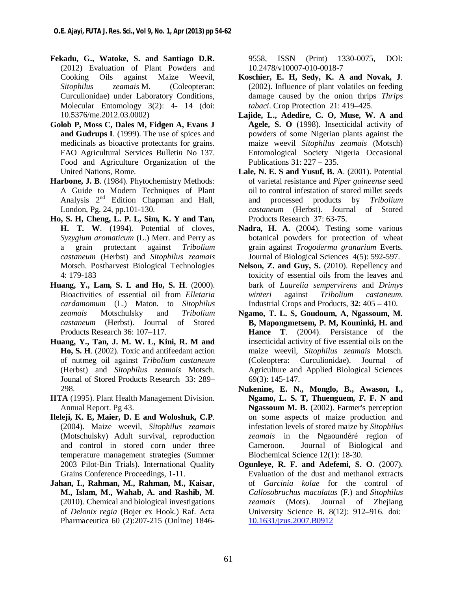- **Fekadu, G., Watoke, S. and Santiago D.R.** (2012) Evaluation of Plant Powders and Cooking Oils against Maize Weevil, *Sitophilus zeamais* M. (Coleopteran: Curculionidae) under Laboratory Conditions, Molecular Entomology 3(2): 4- 14 (doi: 10.5376/me.2012.03.0002)
- **Golob P, Moss C, Dales M, Fidgen A, Evans J and Gudrups I**. (1999). The use of spices and medicinals as bioactive protectants for grains. FAO Agricultural Services Bulleti*n* No 137. Food and Agriculture Organization of the United Nations, Rome.
- **Harbone, J. B**. (1984). Phytochemistry Methods: A Guide to Modern Techniques of Plant Analysis  $2<sup>nd</sup>$  Edition Chapman and Hall, London, Pg. 24, pp.101-130.
- **Ho, S. H, Cheng, L. P. L, Sim, K. Y and Tan, H. T. W**. (1994). Potential of cloves, *Syzygium aromaticum* (L.) Merr. and Perry as a grain protectant against *Tribolium castaneum* (Herbst) and *Sitophilus zeamais* Motsch. Postharvest Biological Technologies 4: 179-183
- **Huang, Y., Lam, S. L and Ho, S. H**. (2000). Bioactivities of essential oil from *Elletaria cardamomum* (L.) Maton. to *Sitophilus zeamais* Motschulsky and *Tribolium castaneum* (Herbst). Journal of Stored Products Research 36: 107–117.
- **Huang, Y., Tan, J. M. W. L, Kini, R. M and Ho, S. H**. (2002). Toxic and antifeedant action of nutmeg oil against *Tribolium castaneum* (Herbst) and *Sitophilus zeamais* Motsch. Jounal of Stored Products Research 33: 289– 298.
- **IITA** (1995). Plant Health Management Division. Annual Report. Pg 43.
- **Ileleji, K. E, Maier, D. E and Woloshuk, C.P**. (2004). Maize weevil, *Sitophilus zeamais* (Motschulsky) Adult survival, reproduction and control in stored corn under three temperature management strategies (Summer 2003 Pilot-Bin Trials). International Quality Grains Conference Proceedings, 1-11.
- **Jahan, I., Rahman, M., Rahman, M., Kaisar, M., Islam, M., Wahab, A. and Rashib, M**. (2010). Chemical and biological investigations of *Delonix regia* (Bojer ex Hook.) Raf. Acta Pharmaceutica 60 (2):207-215 (Online) 1846-

9558, ISSN (Print) 1330-0075, DOI: 10.2478/v10007-010-0018-7

- **Koschier, E. H, Sedy, K. A and Novak, J**. (2002). Influence of plant volatiles on feeding damage caused by the onion thrips *Thrips tabaci*. Crop Protection 21: 419–425.
- **Lajide, L., Adedire, C. O, Muse, W. A and Agele, S. O** (1998). Insecticidal activity of powders of some Nigerian plants against the maize weevil *Sitophilus zeamais* (Motsch) Entomological Society Nigeria Occasional Publications 31: 227 – 235.
- **Lale, N. E. S and Yusuf, B. A**. (2001). Potential of varietal resistance and *Piper guineense* seed oil to control infestation of stored millet seeds and processed products by *Tribolium castaneum* (Herbst). Journal of Stored Products Research 37: 63-75.
- Nadra, H. A. (2004). Testing some various botanical powders for protection of wheat grain against *Trogoderma granarium* Everts. Journal of Biological Sciences 4(5): 592-597.
- **Nelson, Z. and Guy, S.** (2010). Repellency and toxicity of essential oils from the leaves and bark of *Laurelia sempervirens* and *Drimys winteri* against *Tribolium castaneum*. Industrial Crops and Products, **32**: 405 – 410.
- **Ngamo, T. L. S, Goudoum, A, Ngassoum, M. B, Mapongmetsem, P. M, Kouninki, H. and Hance T**. (2004). Persistance of the insecticidal activity of five essential oils on the maize weevil, *Sitophilus zeamais* Motsch. (Coleoptera: Curculionidae). Journal of Agriculture and Applied Biological Sciences 69(3): 145-147.
- **Nukenine, E. N., Monglo, B., Awason, I., Ngamo, L. S. T, Thuenguem, F. F. N and Ngassoum M. B.** (2002). Farmer's perception on some aspects of maize production and infestation levels of stored maize by *Sitophilus zeamais* in the Ngaoundéré region of Cameroon. Journal of Biological and Biochemical Science 12(1): 18-30.
- **Ogunleye, R. F. and Adefemi, S. O**. (2007). Evaluation of the dust and methanol extracts of *Garcinia kolae* for the control of *Callosobruchus maculatus* (F.) and *Sitophilus zeamais* (Mots). Journal of Zhejiang University Science B. 8(12): 912–916. doi: 10.1631/jzus.2007.B0912